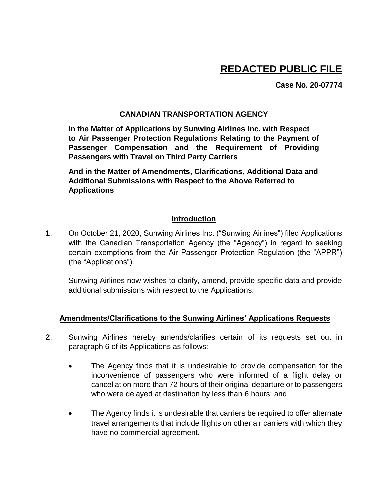# **REDACTED PUBLIC FILE**

**Case No. 20-07774**

#### **CANADIAN TRANSPORTATION AGENCY**

**In the Matter of Applications by Sunwing Airlines Inc. with Respect to Air Passenger Protection Regulations Relating to the Payment of Passenger Compensation and the Requirement of Providing Passengers with Travel on Third Party Carriers**

**And in the Matter of Amendments, Clarifications, Additional Data and Additional Submissions with Respect to the Above Referred to Applications**

#### **Introduction**

1. On October 21, 2020, Sunwing Airlines Inc. ("Sunwing Airlines") filed Applications with the Canadian Transportation Agency (the "Agency") in regard to seeking certain exemptions from the Air Passenger Protection Regulation (the "APPR") (the "Applications").

Sunwing Airlines now wishes to clarify, amend, provide specific data and provide additional submissions with respect to the Applications.

#### **Amendments/Clarifications to the Sunwing Airlines' Applications Requests**

- 2. Sunwing Airlines hereby amends/clarifies certain of its requests set out in paragraph 6 of its Applications as follows:
	- The Agency finds that it is undesirable to provide compensation for the inconvenience of passengers who were informed of a flight delay or cancellation more than 72 hours of their original departure or to passengers who were delayed at destination by less than 6 hours; and
	- The Agency finds it is undesirable that carriers be required to offer alternate travel arrangements that include flights on other air carriers with which they have no commercial agreement.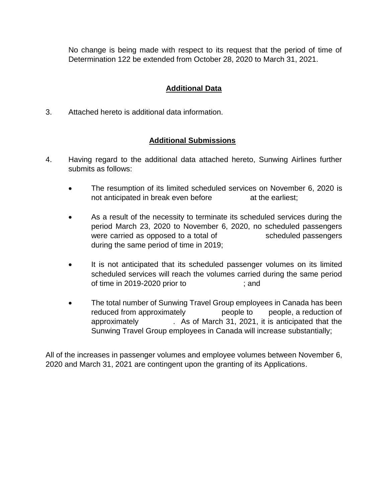No change is being made with respect to its request that the period of time of Determination 122 be extended from October 28, 2020 to March 31, 2021.

# **Additional Data**

3. Attached hereto is additional data information.

## **Additional Submissions**

- 4. Having regard to the additional data attached hereto, Sunwing Airlines further submits as follows:
	- The resumption of its limited scheduled services on November 6, 2020 is not anticipated in break even before at the earliest;
	- As a result of the necessity to terminate its scheduled services during the period March 23, 2020 to November 6, 2020, no scheduled passengers were carried as opposed to a total of scheduled passengers during the same period of time in 2019;
	- It is not anticipated that its scheduled passenger volumes on its limited scheduled services will reach the volumes carried during the same period of time in 2019-2020 prior to ; and
	- The total number of Sunwing Travel Group employees in Canada has been reduced from approximately beople to people, a reduction of approximately . As of March 31, 2021, it is anticipated that the Sunwing Travel Group employees in Canada will increase substantially;

All of the increases in passenger volumes and employee volumes between November 6, 2020 and March 31, 2021 are contingent upon the granting of its Applications.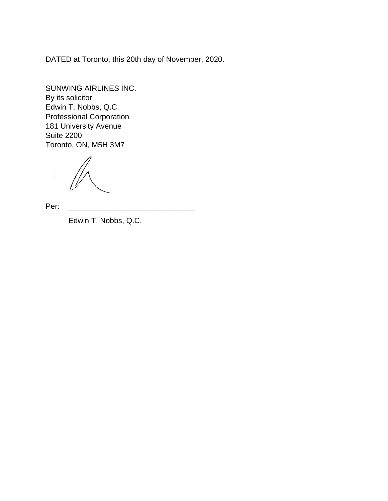DATED at Toronto, this 20th day of November, 2020.

SUNWING AIRLINES INC. By its solicitor Edwin T. Nobbs, Q.C. Professional Corporation 181 University Avenue Suite 2200 Toronto, ON, M5H 3M7

Per: \_\_\_\_\_\_\_\_\_\_\_\_\_\_\_\_\_\_\_\_\_\_\_\_\_\_\_\_\_\_

Edwin T. Nobbs, Q.C.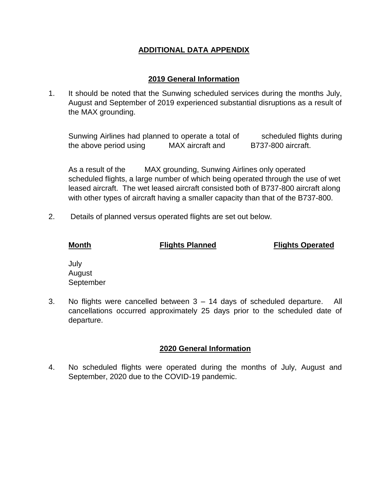# **ADDITIONAL DATA APPENDIX**

## **2019 General Information**

1. It should be noted that the Sunwing scheduled services during the months July, August and September of 2019 experienced substantial disruptions as a result of the MAX grounding.

Sunwing Airlines had planned to operate a total of scheduled flights during the above period using MAX aircraft and B737-800 aircraft.

As a result of the MAX grounding, Sunwing Airlines only operated scheduled flights, a large number of which being operated through the use of wet leased aircraft. The wet leased aircraft consisted both of B737-800 aircraft along with other types of aircraft having a smaller capacity than that of the B737-800.

2. Details of planned versus operated flights are set out below.

**Month Flights Planned Flights Operated**

July August September

3. No flights were cancelled between 3 – 14 days of scheduled departure. All cancellations occurred approximately 25 days prior to the scheduled date of departure.

# **2020 General Information**

4. No scheduled flights were operated during the months of July, August and September, 2020 due to the COVID-19 pandemic.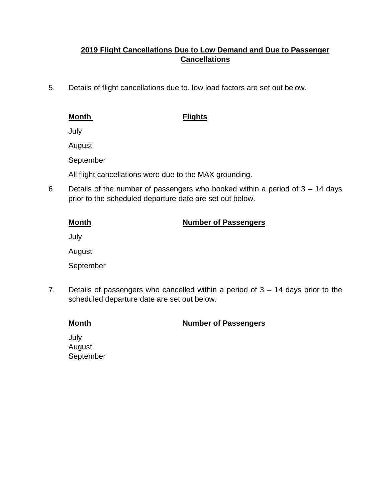# **2019 Flight Cancellations Due to Low Demand and Due to Passenger Cancellations**

5. Details of flight cancellations due to. low load factors are set out below.

### **Month Flights**

July

August

September

All flight cancellations were due to the MAX grounding.

6. Details of the number of passengers who booked within a period of 3 – 14 days prior to the scheduled departure date are set out below.

# **Month Number of Passengers**

July

August

September

7. Details of passengers who cancelled within a period of  $3 - 14$  days prior to the scheduled departure date are set out below.

# **Month Number of Passengers**

July August September